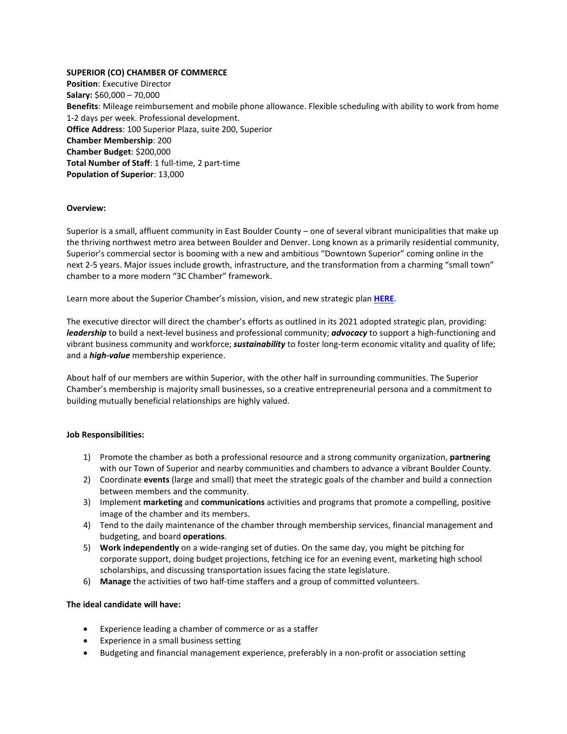# **SUPERIOR (CO) CHAMBER OF COMMERCE**

**Position**: Executive Director **Salary:** \$60,000 – 70,000 **Benefits**: Mileage reimbursement and mobile phone allowance. Flexible scheduling with ability to work from home 1-2 days per week. Professional development. **Office Address**: 100 Superior Plaza, suite 200, Superior **Chamber Membership**: 200 **Chamber Budget**: \$200,000 **Total Number of Staff**: 1 full-time, 2 part-time **Population of Superior**: 13,000

### **Overview:**

Superior is a small, affluent community in East Boulder County – one of several vibrant municipalities that make up the thriving northwest metro area between Boulder and Denver. Long known as a primarily residential community, Superior's commercial sector is booming with a new and ambitious "Downtown Superior" coming online in the next 2-5 years. Major issues include growth, infrastructure, and the transformation from a charming "small town" chamber to a more modern "3C Chamber" framework.

Learn more about the Superior Chamber's mission, vision, and new strategic plan **[HERE](https://www.superiorchamber.com/mission-and-vision/)**.

The executive director will direct the chamber's efforts as outlined in its 2021 adopted strategic plan, providing: *leadership* to build a next-level business and professional community; *advocacy* to support a high-functioning and vibrant business community and workforce; *sustainability* to foster long-term economic vitality and quality of life; and a *high-value* membership experience.

About half of our members are within Superior, with the other half in surrounding communities. The Superior Chamber's membership is majority small businesses, so a creative entrepreneurial persona and a commitment to building mutually beneficial relationships are highly valued.

### **Job Responsibilities:**

- 1) Promote the chamber as both a professional resource and a strong community organization, **partnering** with our Town of Superior and nearby communities and chambers to advance a vibrant Boulder County.
- 2) Coordinate **events** (large and small) that meet the strategic goals of the chamber and build a connection between members and the community.
- 3) Implement **marketing** and **communications** activities and programs that promote a compelling, positive image of the chamber and its members.
- 4) Tend to the daily maintenance of the chamber through membership services, financial management and budgeting, and board **operations**.
- 5) **Work independently** on a wide-ranging set of duties. On the same day, you might be pitching for corporate support, doing budget projections, fetching ice for an evening event, marketing high school scholarships, and discussing transportation issues facing the state legislature.
- 6) **Manage** the activities of two half-time staffers and a group of committed volunteers.

### **The ideal candidate will have:**

- Experience leading a chamber of commerce or as a staffer
- Experience in a small business setting
- Budgeting and financial management experience, preferably in a non-profit or association setting